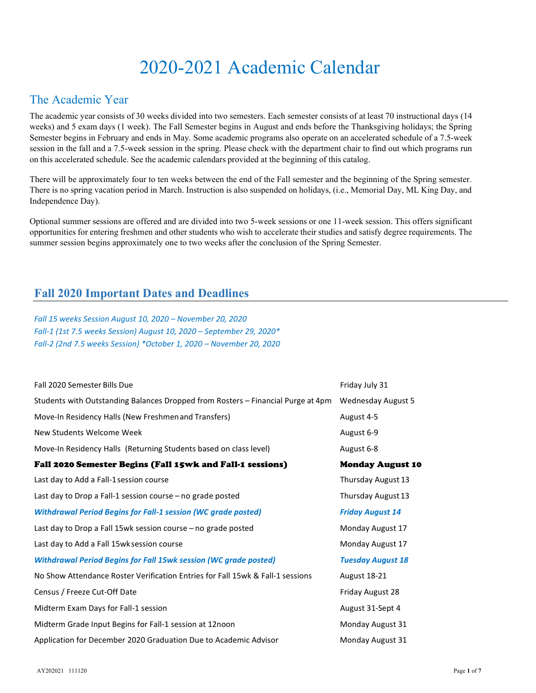# 2020-2021 Academic Calendar

### The Academic Year

The academic year consists of 30 weeks divided into two semesters. Each semester consists of at least 70 instructional days (14 weeks) and 5 exam days (1 week). The Fall Semester begins in August and ends before the Thanksgiving holidays; the Spring Semester begins in February and ends in May. Some academic programs also operate on an accelerated schedule of a 7.5-week session in the fall and a 7.5-week session in the spring. Please check with the department chair to find out which programs run on this accelerated schedule. See the academic calendars provided at the beginning of this catalog.

There will be approximately four to ten weeks between the end of the Fall semester and the beginning of the Spring semester. There is no spring vacation period in March. Instruction is also suspended on holidays, (i.e., Memorial Day, ML King Day, and Independence Day).

Optional summer sessions are offered and are divided into two 5-week sessions or one 11-week session. This offers significant opportunities for entering freshmen and other students who wish to accelerate their studies and satisfy degree requirements. The summer session begins approximately one to two weeks after the conclusion of the Spring Semester.

### Fall 2020 Important Dates and Deadlines

Fall 15 weeks Session August 10, 2020 – November 20, 2020 Fall-1 (1st 7.5 weeks Session) August 10, 2020 – September 29, 2020\* Fall-2 (2nd 7.5 weeks Session) \*October 1, 2020 – November 20, 2020

| Fall 2020 Semester Bills Due                                                     | Friday July 31            |
|----------------------------------------------------------------------------------|---------------------------|
| Students with Outstanding Balances Dropped from Rosters - Financial Purge at 4pm | <b>Wednesday August 5</b> |
| Move-In Residency Halls (New Freshmen and Transfers)                             | August 4-5                |
| New Students Welcome Week                                                        | August 6-9                |
| Move-In Residency Halls (Returning Students based on class level)                | August 6-8                |
| Fall 2020 Semester Begins (Fall 15wk and Fall-1 sessions)                        | <b>Monday August 10</b>   |
| Last day to Add a Fall-1 session course                                          | Thursday August 13        |
| Last day to Drop a Fall-1 session course - no grade posted                       | Thursday August 13        |
| <b>Withdrawal Period Begins for Fall-1 session (WC grade posted)</b>             | <b>Friday August 14</b>   |
| Last day to Drop a Fall 15wk session course – no grade posted                    | Monday August 17          |
| Last day to Add a Fall 15wk session course                                       | Monday August 17          |
| <b>Withdrawal Period Begins for Fall 15wk session (WC grade posted)</b>          | <b>Tuesday August 18</b>  |
| No Show Attendance Roster Verification Entries for Fall 15wk & Fall-1 sessions   | <b>August 18-21</b>       |
| Census / Freeze Cut-Off Date                                                     | Friday August 28          |
| Midterm Exam Days for Fall-1 session                                             | August 31-Sept 4          |
| Midterm Grade Input Begins for Fall-1 session at 12noon                          | Monday August 31          |
| Application for December 2020 Graduation Due to Academic Advisor                 | Monday August 31          |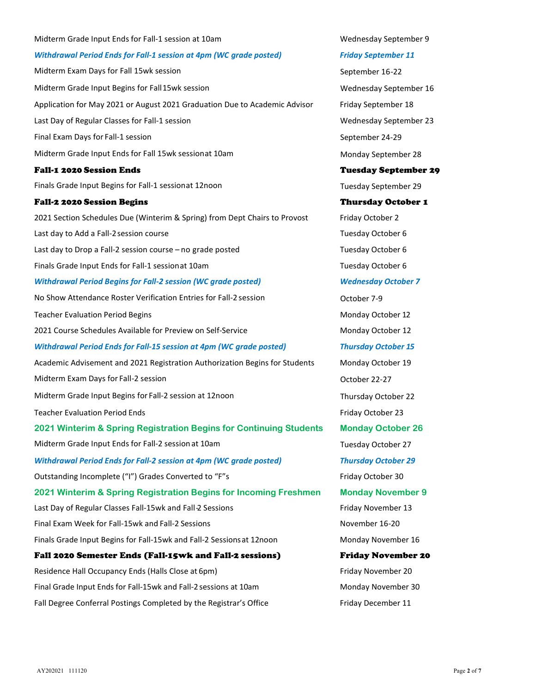# Midterm Grade Input Ends for Fall-1 session at 10am Number 2014 10am Number 9 Withdrawal Period Ends for Fall-1 session at 4pm (WC grade posted) Friday September 11 Midterm Exam Days for Fall 15wk session September 16-22 Midterm Grade Input Begins for Fall 15wk session Wednesday September 16 Application for May 2021 or August 2021 Graduation Due to Academic Advisor Friday September 18 Last Day of Regular Classes for Fall-1 session Number 23 and Number 23 and Number 23 and Number 23 and Number 23 Final Exam Days for Fall-1 session September 24-29 Midterm Grade Input Ends for Fall 15wk session at 10am Monday September 28 Fall-1 2020 Session Ends Tuesday September 29 Finals Grade Input Begins for Fall-1 session at 12noon Tuesday September 29 Fall-2 2020 Session Begins Thursday October 1 2021 Section Schedules Due (Winterim & Spring) from Dept Chairs to Provost Friday October 2 Last day to Add a Fall-2 session course Tuesday October 6 Last day to Drop a Fall-2 session course – no grade posted Tuesday October 6 Finals Grade Input Ends for Fall-1 session at 10am Tuesday October 6 Withdrawal Period Begins for Fall-2 session (WC grade posted) Wednesday October 7 No Show Attendance Roster Verification Entries for Fall-2 session **CELC 10** October 7-9 Teacher Evaluation Period Begins Monday October 12 2021 Course Schedules Available for Preview on Self-Service Monday October 12 Withdrawal Period Ends for Fall-15 session at 4pm (WC grade posted) Thursday October 15 Academic Advisement and 2021 Registration Authorization Begins for Students Monday October 19 Midterm Exam Days for Fall-2 session **Containers** Communication of the Containers of Coronaversity Containers Containers Containers and October 22-27 Midterm Grade Input Begins for Fall-2 session at 12noon Thursday October 22 Teacher Evaluation Period Ends Friday October 23 2021 Winterim & Spring Registration Begins for Continuing Students Monday October 26 Midterm Grade Input Ends for Fall-2 session at 10am Tuesday October 27 Withdrawal Period Ends for Fall-2 session at 4pm (WC grade posted) Thursday October 29 Outstanding Incomplete ("I") Grades Converted to "F"s Friday October 30 2021 Winterim & Spring Registration Begins for Incoming Freshmen Monday November 9 Last Day of Regular Classes Fall-15wk and Fall-2 Sessions Friday November 13 Final Exam Week for Fall-15wk and Fall-2 Sessions November 16-20 November 16-20 Finals Grade Input Begins for Fall-15wk and Fall-2 Sessions at 12noon Monday November 16 Fall 2020 Semester Ends (Fall-15wk and Fall-2 sessions) Friday November 20 Residence Hall Occupancy Ends (Halls Close at 6pm) Friday November 20 Final Grade Input Ends for Fall-15wk and Fall-2 sessions at 10am Monday November 30 Fall Degree Conferral Postings Completed by the Registrar's Office Friday December 11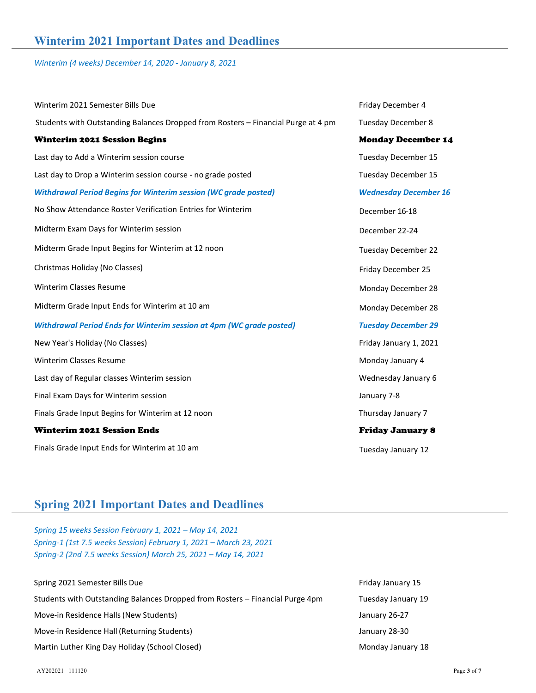Winterim (4 weeks) December 14, 2020 - January 8, 2021

| Winterim 2021 Semester Bills Due                                                  | Friday December 4            |
|-----------------------------------------------------------------------------------|------------------------------|
| Students with Outstanding Balances Dropped from Rosters - Financial Purge at 4 pm | <b>Tuesday December 8</b>    |
| <b>Winterim 2021 Session Begins</b>                                               | <b>Monday December 14</b>    |
| Last day to Add a Winterim session course                                         | Tuesday December 15          |
| Last day to Drop a Winterim session course - no grade posted                      | Tuesday December 15          |
| <b>Withdrawal Period Begins for Winterim session (WC grade posted)</b>            | <b>Wednesday December 16</b> |
| No Show Attendance Roster Verification Entries for Winterim                       | December 16-18               |
| Midterm Exam Days for Winterim session                                            | December 22-24               |
| Midterm Grade Input Begins for Winterim at 12 noon                                | <b>Tuesday December 22</b>   |
| Christmas Holiday (No Classes)                                                    | Friday December 25           |
| <b>Winterim Classes Resume</b>                                                    | Monday December 28           |
| Midterm Grade Input Ends for Winterim at 10 am                                    | Monday December 28           |
| <b>Withdrawal Period Ends for Winterim session at 4pm (WC grade posted)</b>       | <b>Tuesday December 29</b>   |
| New Year's Holiday (No Classes)                                                   | Friday January 1, 2021       |
| Winterim Classes Resume                                                           | Monday January 4             |
| Last day of Regular classes Winterim session                                      | Wednesday January 6          |
| Final Exam Days for Winterim session                                              | January 7-8                  |
| Finals Grade Input Begins for Winterim at 12 noon                                 | Thursday January 7           |
| <b>Winterim 2021 Session Ends</b>                                                 | <b>Friday January 8</b>      |
| Finals Grade Input Ends for Winterim at 10 am                                     | Tuesday January 12           |

## Spring 2021 Important Dates and Deadlines

Spring 15 weeks Session February 1, 2021 – May 14, 2021 Spring-1 (1st 7.5 weeks Session) February 1, 2021 – March 23, 2021 Spring-2 (2nd 7.5 weeks Session) March 25, 2021 – May 14, 2021

| Spring 2021 Semester Bills Due                                                | Friday January |
|-------------------------------------------------------------------------------|----------------|
| Students with Outstanding Balances Dropped from Rosters - Financial Purge 4pm | Tuesday Janua  |
| Move-in Residence Halls (New Students)                                        | January 26-27  |
| Move-in Residence Hall (Returning Students)                                   | January 28-30  |
| Martin Luther King Day Holiday (School Closed)                                | Monday Janua   |

ay January 15 sday January 19 nday January 18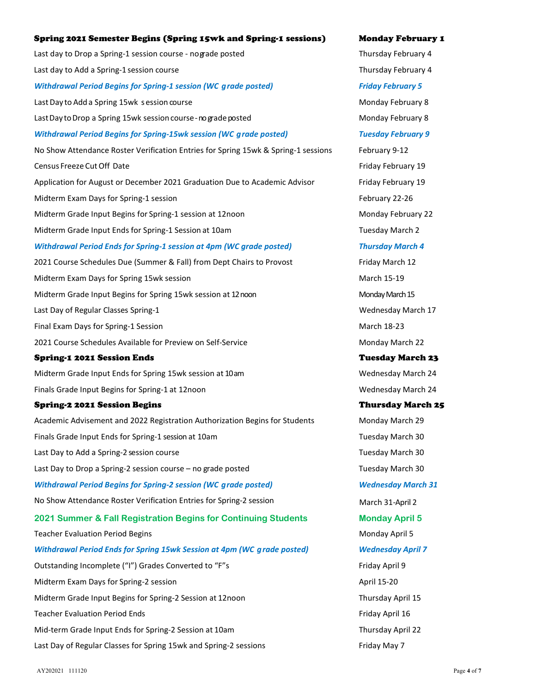# Spring 2021 Semester Begins (Spring 15wk and Spring-1 sessions) Monday February 1 Last day to Drop a Spring-1 session course - no grade posted Thursday February 4 Last day to Add a Spring-1 session course Thursday February 4 Withdrawal Period Begins for Spring-1 session (WC grade posted) Friday February 5 Last Day to Add a Spring 15wk s ession course Monday February 8 Last Day to Drop a Spring 15wk session course - no grade posted Monday February 8 Withdrawal Period Begins for Spring-15wk session (WC grade posted) Tuesday February 9 No Show Attendance Roster Verification Entries for Spring 15wk & Spring-1 sessions February 9-12 Census Freeze Cut Off Date Friday February 19 Application for August or December 2021 Graduation Due to Academic Advisor Friday February 19 Midterm Exam Days for Spring-1 session February 22-26 Midterm Grade Input Begins for Spring-1 session at 12noon Monday February 22 Midterm Grade Input Ends for Spring-1 Session at 10am Tuesday March 2 Withdrawal Period Ends for Spring-1 session at 4pm (WC grade posted) Thursday March 4 2021 Course Schedules Due (Summer & Fall) from Dept Chairs to Provost Friday March 12 Midterm Exam Days for Spring 15wk session March 15-19 Midterm Grade Input Begins for Spring 15wk session at 12 noon Monday March 15 Last Day of Regular Classes Spring-1 Wednesday March 17 Final Exam Days for Spring-1 Session March 18-23 2021 Course Schedules Available for Preview on Self-Service Monday March 22 Spring-1 2021 Session Ends Tuesday March 23 Midterm Grade Input Ends for Spring 15wk session at 10am Number 2014 Mednesday March 24 Finals Grade Input Begins for Spring-1 at 12noon Wednesday March 24 Spring-2 2021 Session Begins Thursday March 25 Academic Advisement and 2022 Registration Authorization Begins for Students Monday March 29 Finals Grade Input Ends for Spring-1 session at 10am Tuesday March 30 Last Day to Add a Spring-2 session course Tuesday March 30 Last Day to Drop a Spring-2 session course – no grade posted Tuesday March 30 Withdrawal Period Begins for Spring-2 session (WC grade posted) Wednesday March 31 No Show Attendance Roster Verification Entries for Spring-2 session March 31-April 2 2021 Summer & Fall Registration Begins for Continuing Students Monday April 5 Teacher Evaluation Period Begins Monday April 5 Withdrawal Period Ends for Spring 15wk Session at 4pm (WC grade posted) Wednesday April 7 Outstanding Incomplete ("I") Grades Converted to "F"s Friday April 9 Midterm Exam Days for Spring-2 session April 15-20 Midterm Grade Input Begins for Spring-2 Session at 12noon Thursday April 15 Teacher Evaluation Period Ends Friday April 16 Mid-term Grade Input Ends for Spring-2 Session at 10am Thursday April 22 Last Day of Regular Classes for Spring 15wk and Spring-2 sessions Friday May 7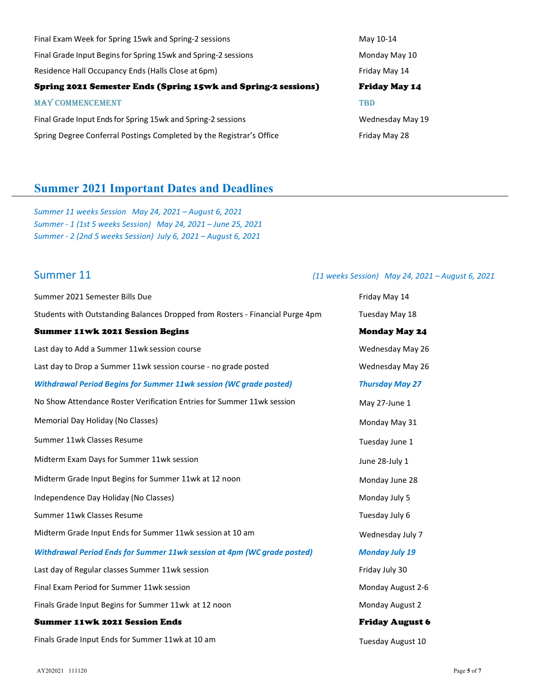| Final Exam Week for Spring 15wk and Spring-2 sessions                | May 10-14            |
|----------------------------------------------------------------------|----------------------|
| Final Grade Input Begins for Spring 15wk and Spring-2 sessions       | Monday May 10        |
| Residence Hall Occupancy Ends (Halls Close at 6pm)                   | Friday May 14        |
| Spring 2021 Semester Ends (Spring 15wk and Spring-2 sessions)        | <b>Friday May 14</b> |
| <b>MAY COMMENCEMENT</b>                                              | <b>TBD</b>           |
| Final Grade Input Ends for Spring 15wk and Spring-2 sessions         | Wednesday May 19     |
| Spring Degree Conferral Postings Completed by the Registrar's Office | Friday May 28        |

# Summer 2021 Important Dates and Deadlines

Summer 11 weeks Session May 24, 2021 – August 6, 2021 Summer - 1 (1st 5 weeks Session) May 24, 2021 – June 25, 2021 Summer - 2 (2nd 5 weeks Session) July 6, 2021 – August 6, 2021

### Summer 11 (11 weeks Session) May 24, 2021 – August 6, 2021

| Summer 2021 Semester Bills Due                                                | Friday May 14          |
|-------------------------------------------------------------------------------|------------------------|
| Students with Outstanding Balances Dropped from Rosters - Financial Purge 4pm | Tuesday May 18         |
| <b>Summer 11wk 2021 Session Begins</b>                                        | <b>Monday May 24</b>   |
| Last day to Add a Summer 11wk session course                                  | Wednesday May 26       |
| Last day to Drop a Summer 11wk session course - no grade posted               | Wednesday May 26       |
| <b>Withdrawal Period Begins for Summer 11wk session (WC grade posted)</b>     | <b>Thursday May 27</b> |
| No Show Attendance Roster Verification Entries for Summer 11wk session        | May 27-June 1          |
| Memorial Day Holiday (No Classes)                                             | Monday May 31          |
| Summer 11wk Classes Resume                                                    | Tuesday June 1         |
| Midterm Exam Days for Summer 11wk session                                     | June 28-July 1         |
| Midterm Grade Input Begins for Summer 11wk at 12 noon                         | Monday June 28         |
| Independence Day Holiday (No Classes)                                         | Monday July 5          |
| Summer 11wk Classes Resume                                                    | Tuesday July 6         |
| Midterm Grade Input Ends for Summer 11wk session at 10 am                     | Wednesday July 7       |
| Withdrawal Period Ends for Summer 11wk session at 4pm (WC grade posted)       | <b>Monday July 19</b>  |
| Last day of Regular classes Summer 11wk session                               | Friday July 30         |
| Final Exam Period for Summer 11wk session                                     | Monday August 2-6      |
| Finals Grade Input Begins for Summer 11wk at 12 noon                          | Monday August 2        |
| <b>Summer 11wk 2021 Session Ends</b>                                          | <b>Friday August 6</b> |
| Finals Grade Input Ends for Summer 11wk at 10 am                              | Tuesday August 10      |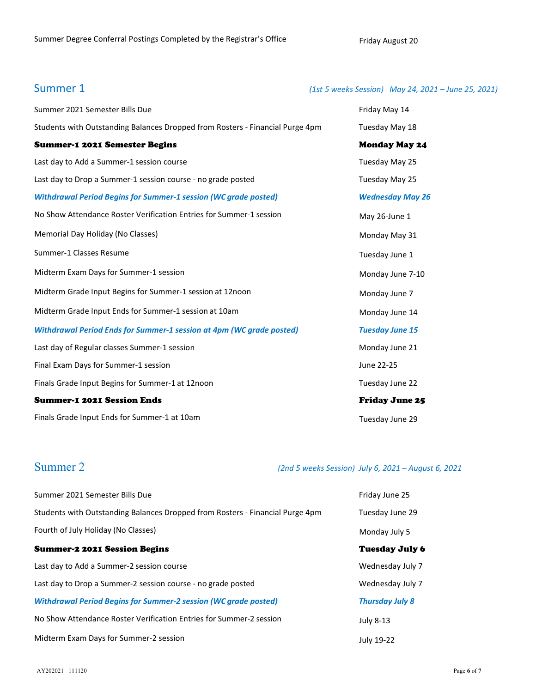### Summer 1 (1st 5 weeks Session) May 24, 2021 – June 25, 2021)

| Summer 2021 Semester Bills Due                                                | Friday May 14           |
|-------------------------------------------------------------------------------|-------------------------|
| Students with Outstanding Balances Dropped from Rosters - Financial Purge 4pm | Tuesday May 18          |
| <b>Summer-1 2021 Semester Begins</b>                                          | <b>Monday May 24</b>    |
| Last day to Add a Summer-1 session course                                     | Tuesday May 25          |
| Last day to Drop a Summer-1 session course - no grade posted                  | Tuesday May 25          |
| <b>Withdrawal Period Begins for Summer-1 session (WC grade posted)</b>        | <b>Wednesday May 26</b> |
| No Show Attendance Roster Verification Entries for Summer-1 session           | May 26-June 1           |
| Memorial Day Holiday (No Classes)                                             | Monday May 31           |
| Summer-1 Classes Resume                                                       | Tuesday June 1          |
| Midterm Exam Days for Summer-1 session                                        | Monday June 7-10        |
| Midterm Grade Input Begins for Summer-1 session at 12noon                     | Monday June 7           |
| Midterm Grade Input Ends for Summer-1 session at 10am                         | Monday June 14          |
| <b>Withdrawal Period Ends for Summer-1 session at 4pm (WC grade posted)</b>   | <b>Tuesday June 15</b>  |
| Last day of Regular classes Summer-1 session                                  | Monday June 21          |
| Final Exam Days for Summer-1 session                                          | June 22-25              |
| Finals Grade Input Begins for Summer-1 at 12noon                              | Tuesday June 22         |
| <b>Summer-1 2021 Session Ends</b>                                             | <b>Friday June 25</b>   |
| Finals Grade Input Ends for Summer-1 at 10am                                  | Tuesday June 29         |

# Summer 2 (2nd 5 weeks Session) July 6, 2021 – August 6, 2021

| Summer 2021 Semester Bills Due                                                | Friday June 25         |
|-------------------------------------------------------------------------------|------------------------|
| Students with Outstanding Balances Dropped from Rosters - Financial Purge 4pm | Tuesday June 29        |
| Fourth of July Holiday (No Classes)                                           | Monday July 5          |
| <b>Summer-2 2021 Session Begins</b>                                           | Tuesday July 6         |
| Last day to Add a Summer-2 session course                                     | Wednesday July 7       |
| Last day to Drop a Summer-2 session course - no grade posted                  | Wednesday July 7       |
| <b>Withdrawal Period Begins for Summer-2 session (WC grade posted)</b>        | <b>Thursday July 8</b> |
| No Show Attendance Roster Verification Entries for Summer-2 session           | July 8-13              |
| Midterm Exam Days for Summer-2 session                                        | July 19-22             |